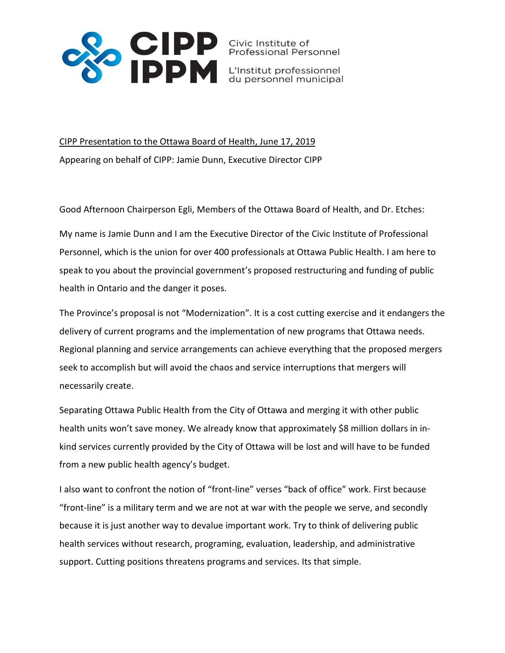

CIPP Presentation to the Ottawa Board of Health, June 17, 2019 Appearing on behalf of CIPP: Jamie Dunn, Executive Director CIPP

Good Afternoon Chairperson Egli, Members of the Ottawa Board of Health, and Dr. Etches:

My name is Jamie Dunn and I am the Executive Director of the Civic Institute of Professional Personnel, which is the union for over 400 professionals at Ottawa Public Health. I am here to speak to you about the provincial government's proposed restructuring and funding of public health in Ontario and the danger it poses.

The Province's proposal is not "Modernization". It is a cost cutting exercise and it endangers the delivery of current programs and the implementation of new programs that Ottawa needs. Regional planning and service arrangements can achieve everything that the proposed mergers seek to accomplish but will avoid the chaos and service interruptions that mergers will necessarily create.

Separating Ottawa Public Health from the City of Ottawa and merging it with other public health units won't save money. We already know that approximately \$8 million dollars in inkind services currently provided by the City of Ottawa will be lost and will have to be funded from a new public health agency's budget.

I also want to confront the notion of "front-line" verses "back of office" work. First because "front-line" is a military term and we are not at war with the people we serve, and secondly because it is just another way to devalue important work. Try to think of delivering public health services without research, programing, evaluation, leadership, and administrative support. Cutting positions threatens programs and services. Its that simple.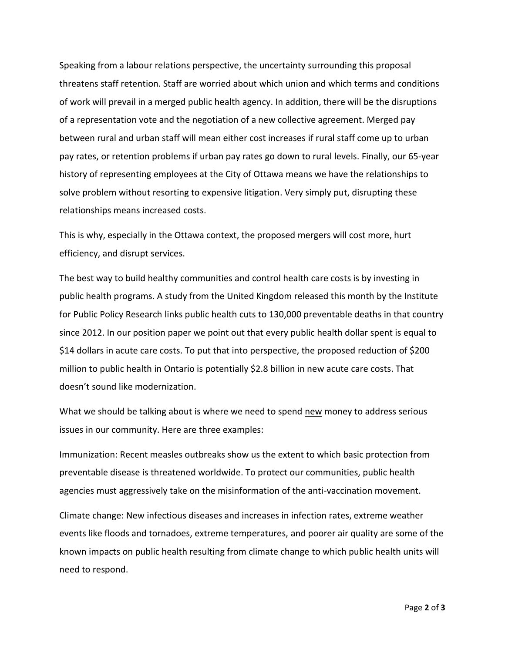Speaking from a labour relations perspective, the uncertainty surrounding this proposal threatens staff retention. Staff are worried about which union and which terms and conditions of work will prevail in a merged public health agency. In addition, there will be the disruptions of a representation vote and the negotiation of a new collective agreement. Merged pay between rural and urban staff will mean either cost increases if rural staff come up to urban pay rates, or retention problems if urban pay rates go down to rural levels. Finally, our 65-year history of representing employees at the City of Ottawa means we have the relationships to solve problem without resorting to expensive litigation. Very simply put, disrupting these relationships means increased costs.

This is why, especially in the Ottawa context, the proposed mergers will cost more, hurt efficiency, and disrupt services.

The best way to build healthy communities and control health care costs is by investing in public health programs. A study from the United Kingdom released this month by the Institute for Public Policy Research links public health cuts to 130,000 preventable deaths in that country since 2012. In our position paper we point out that every public health dollar spent is equal to \$14 dollars in acute care costs. To put that into perspective, the proposed reduction of \$200 million to public health in Ontario is potentially \$2.8 billion in new acute care costs. That doesn't sound like modernization.

What we should be talking about is where we need to spend new money to address serious issues in our community. Here are three examples:

Immunization: Recent measles outbreaks show us the extent to which basic protection from preventable disease is threatened worldwide. To protect our communities, public health agencies must aggressively take on the misinformation of the anti-vaccination movement.

Climate change: New infectious diseases and increases in infection rates, extreme weather events like floods and tornadoes, extreme temperatures, and poorer air quality are some of the known impacts on public health resulting from climate change to which public health units will need to respond.